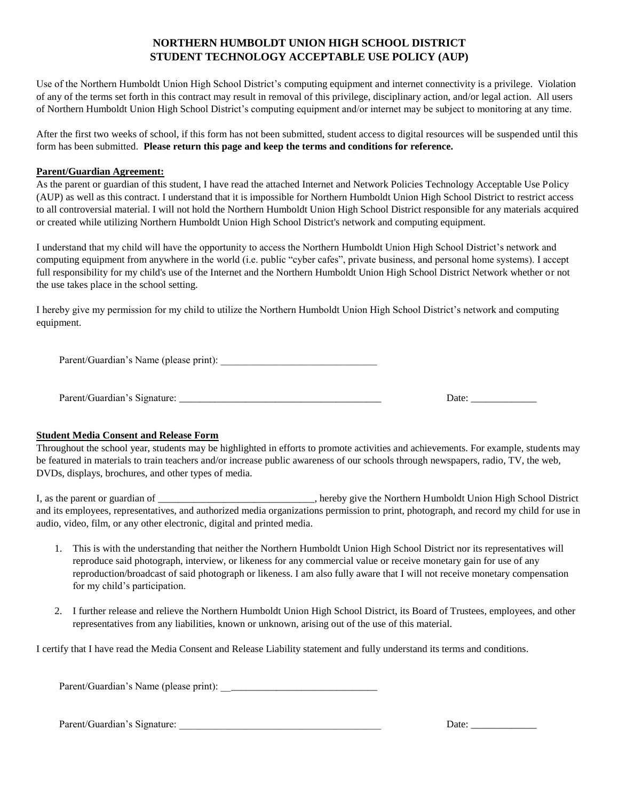#### **NORTHERN HUMBOLDT UNION HIGH SCHOOL DISTRICT STUDENT TECHNOLOGY ACCEPTABLE USE POLICY (AUP)**

Use of the Northern Humboldt Union High School District's computing equipment and internet connectivity is a privilege. Violation of any of the terms set forth in this contract may result in removal of this privilege, disciplinary action, and/or legal action. All users of Northern Humboldt Union High School District's computing equipment and/or internet may be subject to monitoring at any time.

After the first two weeks of school, if this form has not been submitted, student access to digital resources will be suspended until this form has been submitted. **Please return this page and keep the terms and conditions for reference.**

#### **Parent/Guardian Agreement:**

As the parent or guardian of this student, I have read the attached Internet and Network Policies Technology Acceptable Use Policy (AUP) as well as this contract. I understand that it is impossible for Northern Humboldt Union High School District to restrict access to all controversial material. I will not hold the Northern Humboldt Union High School District responsible for any materials acquired or created while utilizing Northern Humboldt Union High School District's network and computing equipment.

I understand that my child will have the opportunity to access the Northern Humboldt Union High School District's network and computing equipment from anywhere in the world (i.e. public "cyber cafes", private business, and personal home systems). I accept full responsibility for my child's use of the Internet and the Northern Humboldt Union High School District Network whether or not the use takes place in the school setting.

I hereby give my permission for my child to utilize the Northern Humboldt Union High School District's network and computing equipment.

Parent/Guardian's Name (please print):

Parent/Guardian's Signature: \_\_\_\_\_\_\_\_\_\_\_\_\_\_\_\_\_\_\_\_\_\_\_\_\_\_\_\_\_\_\_\_\_\_\_\_\_\_\_\_ Date: \_\_\_\_\_\_\_\_\_\_\_\_\_

#### **Student Media Consent and Release Form**

Throughout the school year, students may be highlighted in efforts to promote activities and achievements. For example, students may be featured in materials to train teachers and/or increase public awareness of our schools through newspapers, radio, TV, the web, DVDs, displays, brochures, and other types of media.

I, as the parent or guardian of \_\_\_\_\_\_\_\_\_\_\_\_\_\_\_\_\_\_\_\_\_\_\_\_\_\_\_\_\_\_\_, hereby give the Northern Humboldt Union High School District and its employees, representatives, and authorized media organizations permission to print, photograph, and record my child for use in audio, video, film, or any other electronic, digital and printed media.

- 1. This is with the understanding that neither the Northern Humboldt Union High School District nor its representatives will reproduce said photograph, interview, or likeness for any commercial value or receive monetary gain for use of any reproduction/broadcast of said photograph or likeness. I am also fully aware that I will not receive monetary compensation for my child's participation.
- 2. I further release and relieve the Northern Humboldt Union High School District, its Board of Trustees, employees, and other representatives from any liabilities, known or unknown, arising out of the use of this material.

I certify that I have read the Media Consent and Release Liability statement and fully understand its terms and conditions.

Parent/Guardian's Name (please print): \_\_\_\_\_\_\_\_\_\_\_\_\_\_\_\_\_\_\_\_\_\_\_\_\_\_\_\_\_\_\_

Parent/Guardian's Signature: \_\_\_\_\_\_\_\_\_\_\_\_\_\_\_\_\_\_\_\_\_\_\_\_\_\_\_\_\_\_\_\_\_\_\_\_\_\_\_\_ Date: \_\_\_\_\_\_\_\_\_\_\_\_\_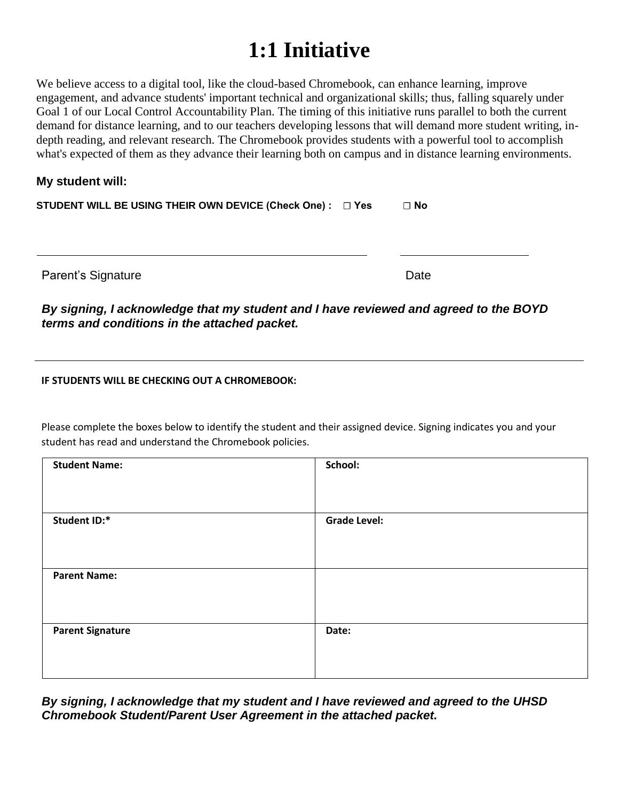## **1:1 Initiative**

We believe access to a digital tool, like the cloud-based Chromebook, can enhance learning, improve engagement, and advance students' important technical and organizational skills; thus, falling squarely under Goal 1 of our Local Control Accountability Plan. The timing of this initiative runs parallel to both the current demand for distance learning, and to our teachers developing lessons that will demand more student writing, indepth reading, and relevant research. The Chromebook provides students with a powerful tool to accomplish what's expected of them as they advance their learning both on campus and in distance learning environments.

#### **My student will:**

| STUDENT WILL BE USING THEIR OWN DEVICE (Check One) : □ Yes | $\Box$ No |  |
|------------------------------------------------------------|-----------|--|
|                                                            |           |  |

Parent's Signature Date Date Date

*By signing, I acknowledge that my student and I have reviewed and agreed to the BOYD terms and conditions in the attached packet.*

**IF STUDENTS WILL BE CHECKING OUT A CHROMEBOOK:**

Please complete the boxes below to identify the student and their assigned device. Signing indicates you and your student has read and understand the Chromebook policies.

| <b>Student Name:</b>    | School:             |
|-------------------------|---------------------|
| Student ID:*            | <b>Grade Level:</b> |
| <b>Parent Name:</b>     |                     |
| <b>Parent Signature</b> | Date:               |

*By signing, I acknowledge that my student and I have reviewed and agreed to the UHSD Chromebook Student/Parent User Agreement in the attached packet.*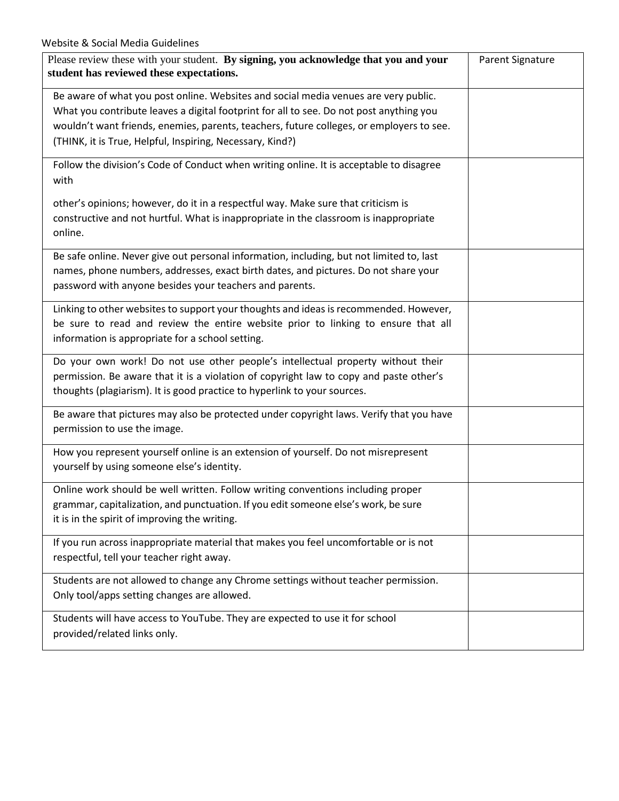| Please review these with your student. By signing, you acknowledge that you and your<br>student has reviewed these expectations.                                                                                                                                                                                                        | <b>Parent Signature</b> |
|-----------------------------------------------------------------------------------------------------------------------------------------------------------------------------------------------------------------------------------------------------------------------------------------------------------------------------------------|-------------------------|
| Be aware of what you post online. Websites and social media venues are very public.<br>What you contribute leaves a digital footprint for all to see. Do not post anything you<br>wouldn't want friends, enemies, parents, teachers, future colleges, or employers to see.<br>(THINK, it is True, Helpful, Inspiring, Necessary, Kind?) |                         |
| Follow the division's Code of Conduct when writing online. It is acceptable to disagree<br>with                                                                                                                                                                                                                                         |                         |
| other's opinions; however, do it in a respectful way. Make sure that criticism is<br>constructive and not hurtful. What is inappropriate in the classroom is inappropriate<br>online.                                                                                                                                                   |                         |
| Be safe online. Never give out personal information, including, but not limited to, last<br>names, phone numbers, addresses, exact birth dates, and pictures. Do not share your<br>password with anyone besides your teachers and parents.                                                                                              |                         |
| Linking to other websites to support your thoughts and ideas is recommended. However,<br>be sure to read and review the entire website prior to linking to ensure that all<br>information is appropriate for a school setting.                                                                                                          |                         |
| Do your own work! Do not use other people's intellectual property without their<br>permission. Be aware that it is a violation of copyright law to copy and paste other's<br>thoughts (plagiarism). It is good practice to hyperlink to your sources.                                                                                   |                         |
| Be aware that pictures may also be protected under copyright laws. Verify that you have<br>permission to use the image.                                                                                                                                                                                                                 |                         |
| How you represent yourself online is an extension of yourself. Do not misrepresent<br>yourself by using someone else's identity.                                                                                                                                                                                                        |                         |
| Online work should be well written. Follow writing conventions including proper<br>grammar, capitalization, and punctuation. If you edit someone else's work, be sure<br>it is in the spirit of improving the writing.                                                                                                                  |                         |
| If you run across inappropriate material that makes you feel uncomfortable or is not<br>respectful, tell your teacher right away.                                                                                                                                                                                                       |                         |
| Students are not allowed to change any Chrome settings without teacher permission.<br>Only tool/apps setting changes are allowed.                                                                                                                                                                                                       |                         |
| Students will have access to YouTube. They are expected to use it for school<br>provided/related links only.                                                                                                                                                                                                                            |                         |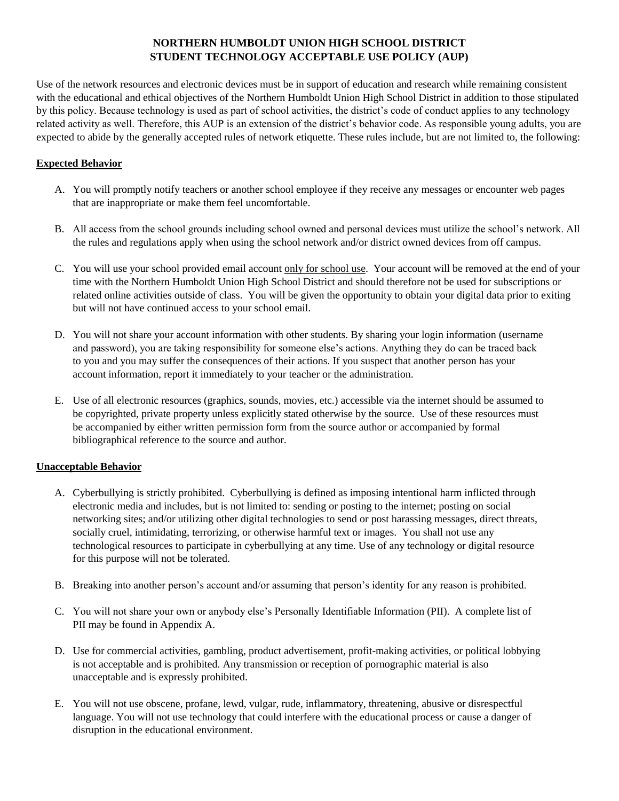#### **NORTHERN HUMBOLDT UNION HIGH SCHOOL DISTRICT STUDENT TECHNOLOGY ACCEPTABLE USE POLICY (AUP)**

Use of the network resources and electronic devices must be in support of education and research while remaining consistent with the educational and ethical objectives of the Northern Humboldt Union High School District in addition to those stipulated by this policy. Because technology is used as part of school activities, the district's code of conduct applies to any technology related activity as well. Therefore, this AUP is an extension of the district's behavior code. As responsible young adults, you are expected to abide by the generally accepted rules of network etiquette. These rules include, but are not limited to, the following:

#### **Expected Behavior**

- A. You will promptly notify teachers or another school employee if they receive any messages or encounter web pages that are inappropriate or make them feel uncomfortable.
- B. All access from the school grounds including school owned and personal devices must utilize the school's network. All the rules and regulations apply when using the school network and/or district owned devices from off campus.
- C. You will use your school provided email account only for school use. Your account will be removed at the end of your time with the Northern Humboldt Union High School District and should therefore not be used for subscriptions or related online activities outside of class. You will be given the opportunity to obtain your digital data prior to exiting but will not have continued access to your school email.
- D. You will not share your account information with other students. By sharing your login information (username and password), you are taking responsibility for someone else's actions. Anything they do can be traced back to you and you may suffer the consequences of their actions. If you suspect that another person has your account information, report it immediately to your teacher or the administration.
- E. Use of all electronic resources (graphics, sounds, movies, etc.) accessible via the internet should be assumed to be copyrighted, private property unless explicitly stated otherwise by the source. Use of these resources must be accompanied by either written permission form from the source author or accompanied by formal bibliographical reference to the source and author.

#### **Unacceptable Behavior**

- A. Cyberbullying is strictly prohibited. Cyberbullying is defined as imposing intentional harm inflicted through electronic media and includes, but is not limited to: sending or posting to the internet; posting on social networking sites; and/or utilizing other digital technologies to send or post harassing messages, direct threats, socially cruel, intimidating, terrorizing, or otherwise harmful text or images. You shall not use any technological resources to participate in cyberbullying at any time. Use of any technology or digital resource for this purpose will not be tolerated.
- B. Breaking into another person's account and/or assuming that person's identity for any reason is prohibited.
- C. You will not share your own or anybody else's Personally Identifiable Information (PII). A complete list of PII may be found in Appendix A.
- D. Use for commercial activities, gambling, product advertisement, profit-making activities, or political lobbying is not acceptable and is prohibited. Any transmission or reception of pornographic material is also unacceptable and is expressly prohibited.
- E. You will not use obscene, profane, lewd, vulgar, rude, inflammatory, threatening, abusive or disrespectful language. You will not use technology that could interfere with the educational process or cause a danger of disruption in the educational environment.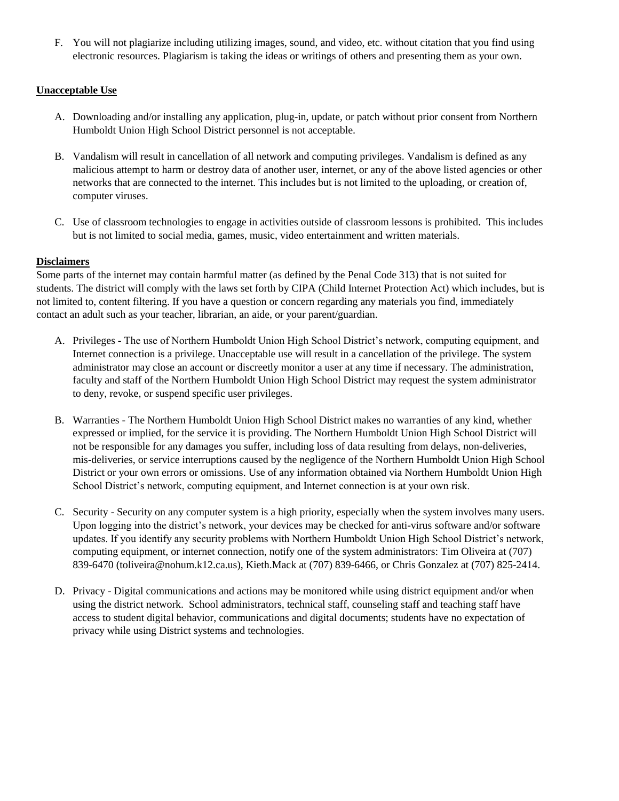F. You will not plagiarize including utilizing images, sound, and video, etc. without citation that you find using electronic resources. Plagiarism is taking the ideas or writings of others and presenting them as your own.

#### **Unacceptable Use**

- A. Downloading and/or installing any application, plug-in, update, or patch without prior consent from Northern Humboldt Union High School District personnel is not acceptable.
- B. Vandalism will result in cancellation of all network and computing privileges. Vandalism is defined as any malicious attempt to harm or destroy data of another user, internet, or any of the above listed agencies or other networks that are connected to the internet. This includes but is not limited to the uploading, or creation of, computer viruses.
- C. Use of classroom technologies to engage in activities outside of classroom lessons is prohibited. This includes but is not limited to social media, games, music, video entertainment and written materials.

#### **Disclaimers**

Some parts of the internet may contain harmful matter (as defined by the Penal Code 313) that is not suited for students. The district will comply with the laws set forth by CIPA (Child Internet Protection Act) which includes, but is not limited to, content filtering. If you have a question or concern regarding any materials you find, immediately contact an adult such as your teacher, librarian, an aide, or your parent/guardian.

- A. Privileges The use of Northern Humboldt Union High School District's network, computing equipment, and Internet connection is a privilege. Unacceptable use will result in a cancellation of the privilege. The system administrator may close an account or discreetly monitor a user at any time if necessary. The administration, faculty and staff of the Northern Humboldt Union High School District may request the system administrator to deny, revoke, or suspend specific user privileges.
- B. Warranties The Northern Humboldt Union High School District makes no warranties of any kind, whether expressed or implied, for the service it is providing. The Northern Humboldt Union High School District will not be responsible for any damages you suffer, including loss of data resulting from delays, non-deliveries, mis-deliveries, or service interruptions caused by the negligence of the Northern Humboldt Union High School District or your own errors or omissions. Use of any information obtained via Northern Humboldt Union High School District's network, computing equipment, and Internet connection is at your own risk.
- C. Security Security on any computer system is a high priority, especially when the system involves many users. Upon logging into the district's network, your devices may be checked for anti-virus software and/or software updates. If you identify any security problems with Northern Humboldt Union High School District's network, computing equipment, or internet connection, notify one of the system administrators: Tim Oliveira at (707) 839-6470 (toliveira@nohum.k12.ca.us), Kieth.Mack at (707) 839-6466, or Chris Gonzalez at (707) 825-2414.
- D. Privacy Digital communications and actions may be monitored while using district equipment and/or when using the district network. School administrators, technical staff, counseling staff and teaching staff have access to student digital behavior, communications and digital documents; students have no expectation of privacy while using District systems and technologies.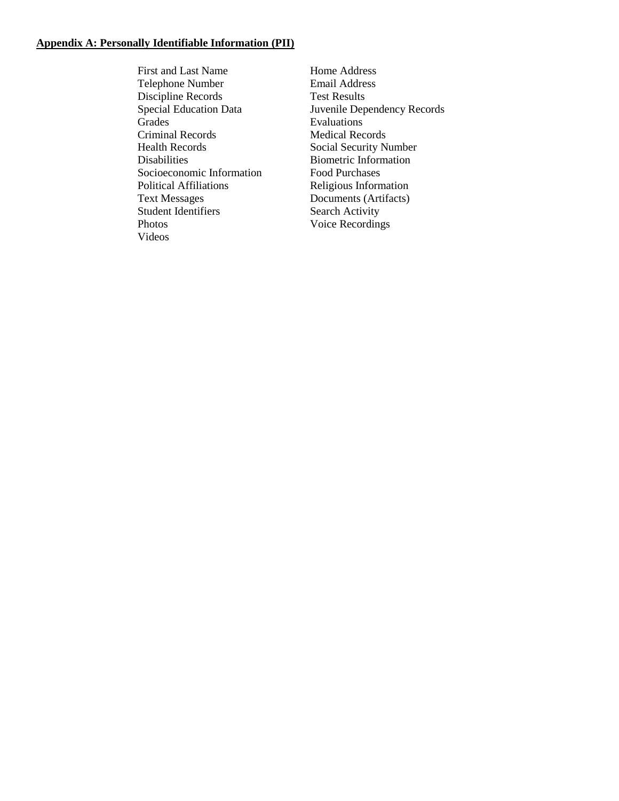#### **Appendix A: Personally Identifiable Information (PII)**

First and Last Name Telephone Number Discipline Records Special Education Data Grades Criminal Records Health Records Disabilities Socioeconomic Information Political Affiliations Text Messages Student Identifiers Photos Videos

Home Address Email Address Test Results Juvenile Dependency Records Evaluations Medical Records Social Security Number Biometric Information Food Purchases Religious Information Documents (Artifacts) Search Activity Voice Recordings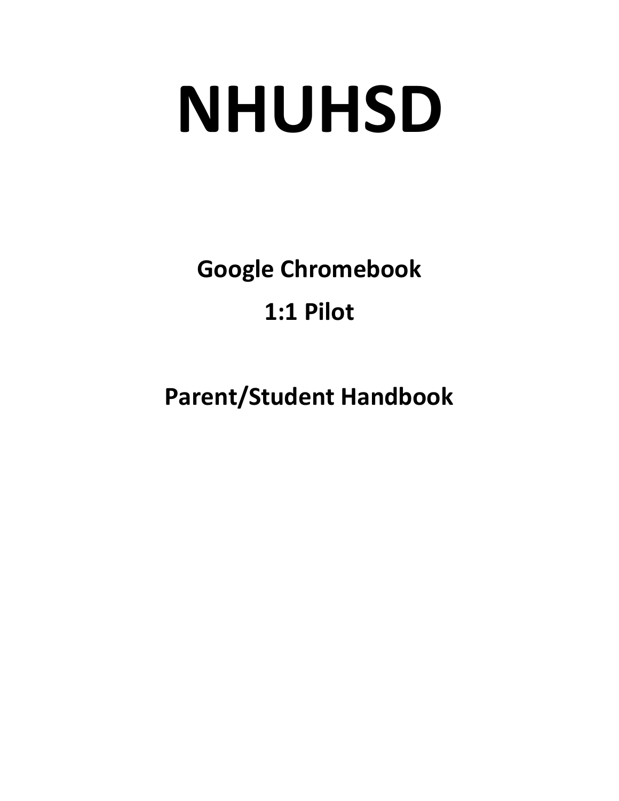# **NHUHSD**

**Google Chromebook 1:1 Pilot**

**Parent/Student Handbook**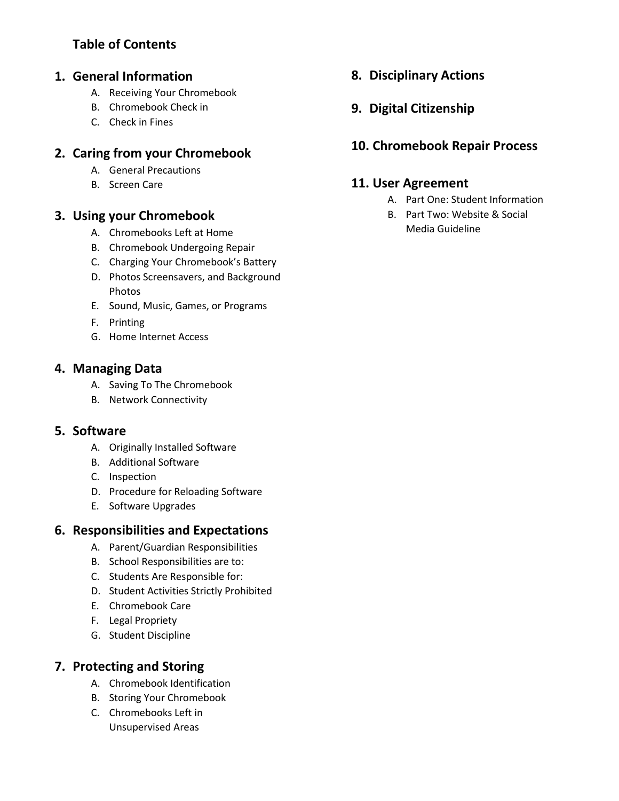## **Table of Contents**

#### **1. General Information**

- A. Receiving Your Chromebook
- B. Chromebook Check in
- C. Check in Fines

### **2. Caring from your Chromebook**

- A. General Precautions
- B. Screen Care

#### **3. Using your Chromebook**

- A. Chromebooks Left at Home
- B. Chromebook Undergoing Repair
- C. Charging Your Chromebook's Battery
- D. Photos Screensavers, and Background Photos
- E. Sound, Music, Games, or Programs
- F. Printing
- G. Home Internet Access

#### **4. Managing Data**

- A. Saving To The Chromebook
- B. Network Connectivity

#### **5. Software**

- A. Originally Installed Software
- B. Additional Software
- C. Inspection
- D. Procedure for Reloading Software
- E. Software Upgrades

#### **6. Responsibilities and Expectations**

- A. Parent/Guardian Responsibilities
- B. School Responsibilities are to:
- C. Students Are Responsible for:
- D. Student Activities Strictly Prohibited
- E. Chromebook Care
- F. Legal Propriety
- G. Student Discipline

#### **7. Protecting and Storing**

- A. Chromebook Identification
- B. Storing Your Chromebook
- C. Chromebooks Left in Unsupervised Areas

**8. Disciplinary Actions**

## **9. Digital Citizenship**

## **10. Chromebook Repair Process**

#### **11. User Agreement**

- A. Part One: Student Information
- B. Part Two: Website & Social Media Guideline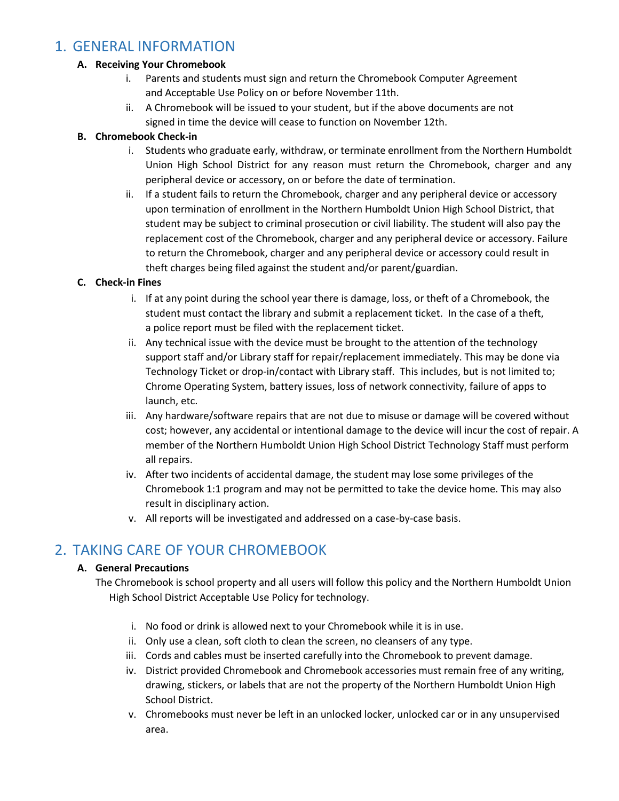## 1. GENERAL INFORMATION

#### **A. Receiving Your Chromebook**

- i. Parents and students must sign and return the Chromebook Computer Agreement and Acceptable Use Policy on or before November 11th.
- ii. A Chromebook will be issued to your student, but if the above documents are not signed in time the device will cease to function on November 12th.

#### **B. Chromebook Check-in**

- i. Students who graduate early, withdraw, or terminate enrollment from the Northern Humboldt Union High School District for any reason must return the Chromebook, charger and any peripheral device or accessory, on or before the date of termination.
- ii. If a student fails to return the Chromebook, charger and any peripheral device or accessory upon termination of enrollment in the Northern Humboldt Union High School District, that student may be subject to criminal prosecution or civil liability. The student will also pay the replacement cost of the Chromebook, charger and any peripheral device or accessory. Failure to return the Chromebook, charger and any peripheral device or accessory could result in theft charges being filed against the student and/or parent/guardian.

#### **C. Check-in Fines**

- i. If at any point during the school year there is damage, loss, or theft of a Chromebook, the student must contact the library and submit a replacement ticket. In the case of a theft, a police report must be filed with the replacement ticket.
- ii. Any technical issue with the device must be brought to the attention of the technology support staff and/or Library staff for repair/replacement immediately. This may be done via Technology Ticket or drop-in/contact with Library staff. This includes, but is not limited to; Chrome Operating System, battery issues, loss of network connectivity, failure of apps to launch, etc.
- iii. Any hardware/software repairs that are not due to misuse or damage will be covered without cost; however, any accidental or intentional damage to the device will incur the cost of repair. A member of the Northern Humboldt Union High School District Technology Staff must perform all repairs.
- iv. After two incidents of accidental damage, the student may lose some privileges of the Chromebook 1:1 program and may not be permitted to take the device home. This may also result in disciplinary action.
- v. All reports will be investigated and addressed on a case-by-case basis.

## 2. TAKING CARE OF YOUR CHROMEBOOK

#### **A. General Precautions**

- The Chromebook is school property and all users will follow this policy and the Northern Humboldt Union High School District Acceptable Use Policy for technology.
	- i. No food or drink is allowed next to your Chromebook while it is in use.
	- ii. Only use a clean, soft cloth to clean the screen, no cleansers of any type.
	- iii. Cords and cables must be inserted carefully into the Chromebook to prevent damage.
	- iv. District provided Chromebook and Chromebook accessories must remain free of any writing, drawing, stickers, or labels that are not the property of the Northern Humboldt Union High School District.
	- v. Chromebooks must never be left in an unlocked locker, unlocked car or in any unsupervised area.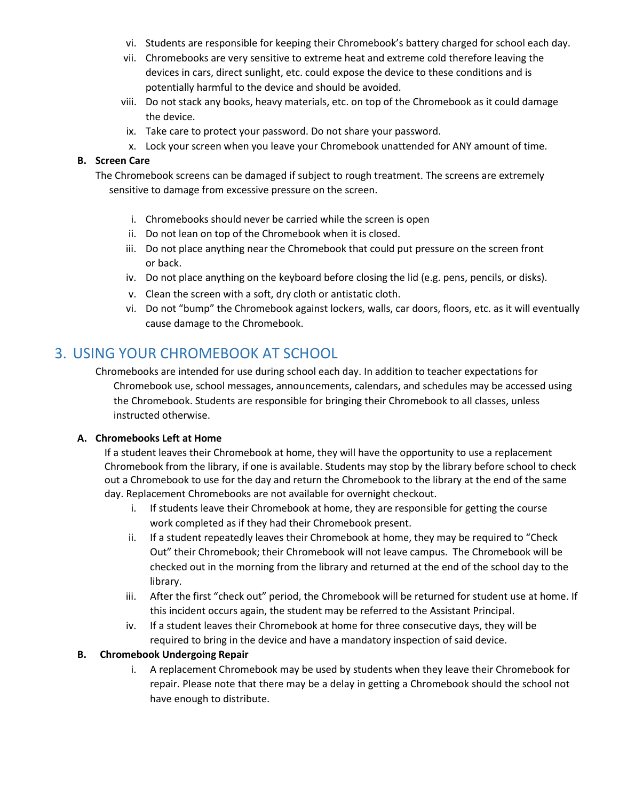- vi. Students are responsible for keeping their Chromebook's battery charged for school each day.
- vii. Chromebooks are very sensitive to extreme heat and extreme cold therefore leaving the devices in cars, direct sunlight, etc. could expose the device to these conditions and is potentially harmful to the device and should be avoided.
- viii. Do not stack any books, heavy materials, etc. on top of the Chromebook as it could damage the device.
- ix. Take care to protect your password. Do not share your password.
- x. Lock your screen when you leave your Chromebook unattended for ANY amount of time.

#### **B. Screen Care**

The Chromebook screens can be damaged if subject to rough treatment. The screens are extremely sensitive to damage from excessive pressure on the screen.

- i. Chromebooks should never be carried while the screen is open
- ii. Do not lean on top of the Chromebook when it is closed.
- iii. Do not place anything near the Chromebook that could put pressure on the screen front or back.
- iv. Do not place anything on the keyboard before closing the lid (e.g. pens, pencils, or disks).
- v. Clean the screen with a soft, dry cloth or antistatic cloth.
- vi. Do not "bump" the Chromebook against lockers, walls, car doors, floors, etc. as it will eventually cause damage to the Chromebook.

## 3. USING YOUR CHROMEBOOK AT SCHOOL

Chromebooks are intended for use during school each day. In addition to teacher expectations for Chromebook use, school messages, announcements, calendars, and schedules may be accessed using the Chromebook. Students are responsible for bringing their Chromebook to all classes, unless instructed otherwise.

#### **A. Chromebooks Left at Home**

If a student leaves their Chromebook at home, they will have the opportunity to use a replacement Chromebook from the library, if one is available. Students may stop by the library before school to check out a Chromebook to use for the day and return the Chromebook to the library at the end of the same day. Replacement Chromebooks are not available for overnight checkout.

- i. If students leave their Chromebook at home, they are responsible for getting the course work completed as if they had their Chromebook present.
- ii. If a student repeatedly leaves their Chromebook at home, they may be required to "Check Out" their Chromebook; their Chromebook will not leave campus. The Chromebook will be checked out in the morning from the library and returned at the end of the school day to the library.
- iii. After the first "check out" period, the Chromebook will be returned for student use at home. If this incident occurs again, the student may be referred to the Assistant Principal.
- iv. If a student leaves their Chromebook at home for three consecutive days, they will be required to bring in the device and have a mandatory inspection of said device.

#### **B. Chromebook Undergoing Repair**

i. A replacement Chromebook may be used by students when they leave their Chromebook for repair. Please note that there may be a delay in getting a Chromebook should the school not have enough to distribute.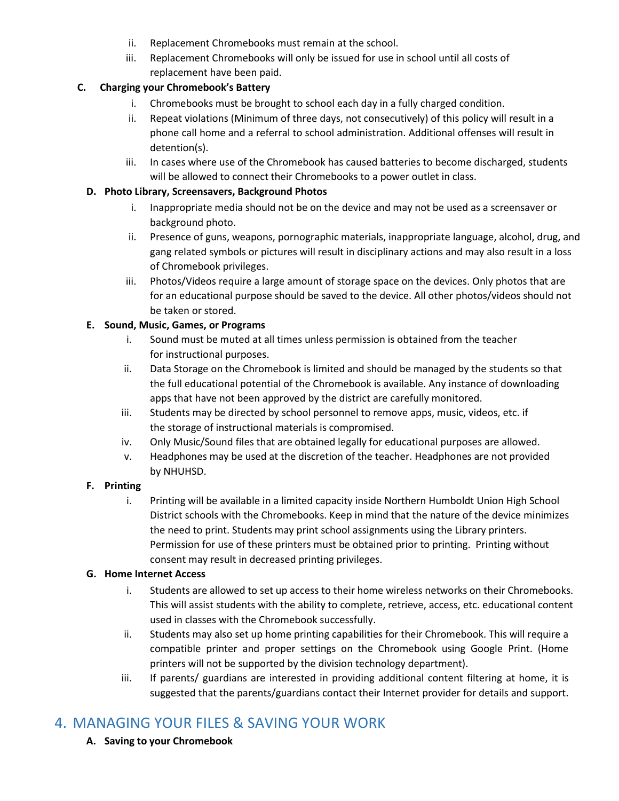- ii. Replacement Chromebooks must remain at the school.
- iii. Replacement Chromebooks will only be issued for use in school until all costs of replacement have been paid.

#### **C. Charging your Chromebook's Battery**

- i. Chromebooks must be brought to school each day in a fully charged condition.
- ii. Repeat violations (Minimum of three days, not consecutively) of this policy will result in a phone call home and a referral to school administration. Additional offenses will result in detention(s).
- iii. In cases where use of the Chromebook has caused batteries to become discharged, students will be allowed to connect their Chromebooks to a power outlet in class.

#### **D. Photo Library, Screensavers, Background Photos**

- i. Inappropriate media should not be on the device and may not be used as a screensaver or background photo.
- ii. Presence of guns, weapons, pornographic materials, inappropriate language, alcohol, drug, and gang related symbols or pictures will result in disciplinary actions and may also result in a loss of Chromebook privileges.
- iii. Photos/Videos require a large amount of storage space on the devices. Only photos that are for an educational purpose should be saved to the device. All other photos/videos should not be taken or stored.

#### **E. Sound, Music, Games, or Programs**

- i. Sound must be muted at all times unless permission is obtained from the teacher for instructional purposes.
- ii. Data Storage on the Chromebook is limited and should be managed by the students so that the full educational potential of the Chromebook is available. Any instance of downloading apps that have not been approved by the district are carefully monitored.
- iii. Students may be directed by school personnel to remove apps, music, videos, etc. if the storage of instructional materials is compromised.
- iv. Only Music/Sound files that are obtained legally for educational purposes are allowed.
- v. Headphones may be used at the discretion of the teacher. Headphones are not provided by NHUHSD.

#### **F. Printing**

i. Printing will be available in a limited capacity inside Northern Humboldt Union High School District schools with the Chromebooks. Keep in mind that the nature of the device minimizes the need to print. Students may print school assignments using the Library printers. Permission for use of these printers must be obtained prior to printing. Printing without consent may result in decreased printing privileges.

#### **G. Home Internet Access**

- i. Students are allowed to set up access to their home wireless networks on their Chromebooks. This will assist students with the ability to complete, retrieve, access, etc. educational content used in classes with the Chromebook successfully.
- ii. Students may also set up home printing capabilities for their Chromebook. This will require a compatible printer and proper settings on the Chromebook using Google Print. (Home printers will not be supported by the division technology department).
- iii. If parents/ guardians are interested in providing additional content filtering at home, it is suggested that the parents/guardians contact their Internet provider for details and support.

## 4. MANAGING YOUR FILES & SAVING YOUR WORK

**A. Saving to your Chromebook**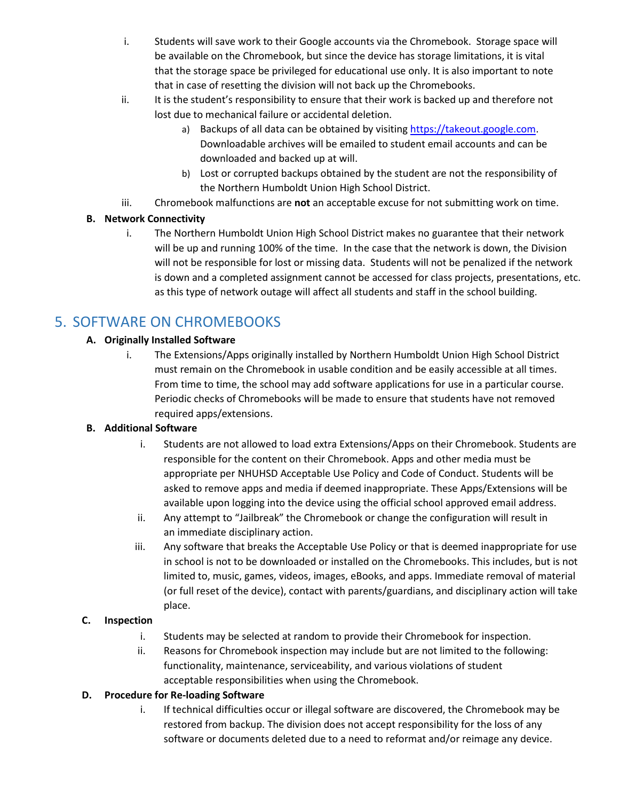- i. Students will save work to their Google accounts via the Chromebook. Storage space will be available on the Chromebook, but since the device has storage limitations, it is vital that the storage space be privileged for educational use only. It is also important to note that in case of resetting the division will not back up the Chromebooks.
- ii. It is the student's responsibility to ensure that their work is backed up and therefore not lost due to mechanical failure or accidental deletion.
	- a) Backups of all data can be obtained by visiting [https://takeout.google.com.](https://takeout.google.com/) Downloadable archives will be emailed to student email accounts and can be downloaded and backed up at will.
	- b) Lost or corrupted backups obtained by the student are not the responsibility of the Northern Humboldt Union High School District.
- iii. Chromebook malfunctions are **not** an acceptable excuse for not submitting work on time.

#### **B. Network Connectivity**

i. The Northern Humboldt Union High School District makes no guarantee that their network will be up and running 100% of the time. In the case that the network is down, the Division will not be responsible for lost or missing data. Students will not be penalized if the network is down and a completed assignment cannot be accessed for class projects, presentations, etc. as this type of network outage will affect all students and staff in the school building.

## 5. SOFTWARE ON CHROMEBOOKS

#### **A. Originally Installed Software**

i. The Extensions/Apps originally installed by Northern Humboldt Union High School District must remain on the Chromebook in usable condition and be easily accessible at all times. From time to time, the school may add software applications for use in a particular course. Periodic checks of Chromebooks will be made to ensure that students have not removed required apps/extensions.

#### **B. Additional Software**

- i. Students are not allowed to load extra Extensions/Apps on their Chromebook. Students are responsible for the content on their Chromebook. Apps and other media must be appropriate per NHUHSD Acceptable Use Policy and Code of Conduct. Students will be asked to remove apps and media if deemed inappropriate. These Apps/Extensions will be available upon logging into the device using the official school approved email address.
- ii. Any attempt to "Jailbreak" the Chromebook or change the configuration will result in an immediate disciplinary action.
- iii. Any software that breaks the Acceptable Use Policy or that is deemed inappropriate for use in school is not to be downloaded or installed on the Chromebooks. This includes, but is not limited to, music, games, videos, images, eBooks, and apps. Immediate removal of material (or full reset of the device), contact with parents/guardians, and disciplinary action will take place.

#### **C. Inspection**

- i. Students may be selected at random to provide their Chromebook for inspection.
- ii. Reasons for Chromebook inspection may include but are not limited to the following: functionality, maintenance, serviceability, and various violations of student acceptable responsibilities when using the Chromebook.

#### **D. Procedure for Re-loading Software**

i. If technical difficulties occur or illegal software are discovered, the Chromebook may be restored from backup. The division does not accept responsibility for the loss of any software or documents deleted due to a need to reformat and/or reimage any device.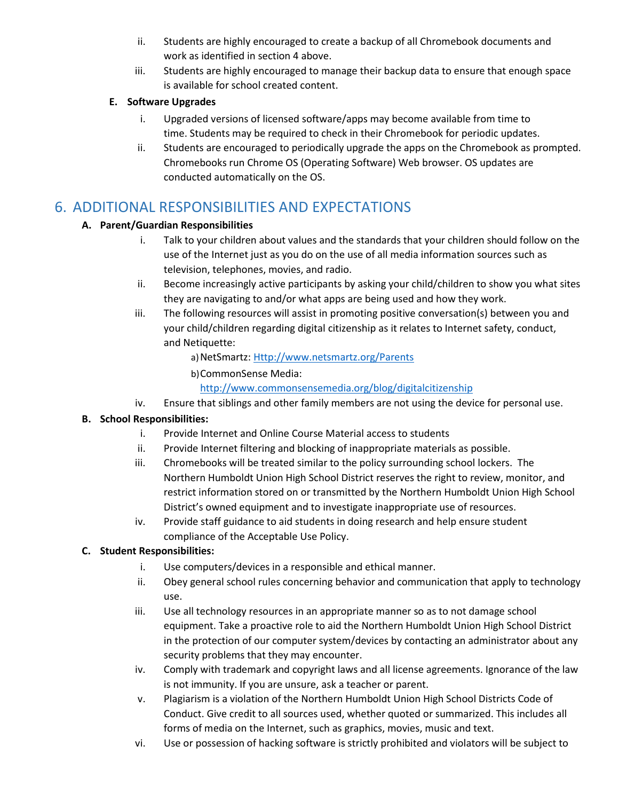- ii. Students are highly encouraged to create a backup of all Chromebook documents and work as identified in section 4 above.
- iii. Students are highly encouraged to manage their backup data to ensure that enough space is available for school created content.

#### **E. Software Upgrades**

- i. Upgraded versions of licensed software/apps may become available from time to time. Students may be required to check in their Chromebook for periodic updates.
- ii. Students are encouraged to periodically upgrade the apps on the Chromebook as prompted. Chromebooks run Chrome OS (Operating Software) Web browser. OS updates are conducted automatically on the OS.

## 6. ADDITIONAL RESPONSIBILITIES AND EXPECTATIONS

#### **A. Parent/Guardian Responsibilities**

- i. Talk to your children about values and the standards that your children should follow on the use of the Internet just as you do on the use of all media information sources such as television, telephones, movies, and radio.
- ii. Become increasingly active participants by asking your child/children to show you what sites they are navigating to and/or what apps are being used and how they work.
- iii. The following resources will assist in promoting positive conversation(s) between you and your child/children regarding digital citizenship as it relates to Internet safety, conduct, and Netiquette:
	- a) NetSmartz: [Http://www.netsmartz.org/Parents](http://www.netsmartz.org/Parents)
	- b)CommonSense Media:

<http://www.commonsensemedia.org/blog/digitalcitizenship>

iv. Ensure that siblings and other family members are not using the device for personal use.

#### **B. School Responsibilities:**

- i. Provide Internet and Online Course Material access to students
- ii. Provide Internet filtering and blocking of inappropriate materials as possible.
- iii. Chromebooks will be treated similar to the policy surrounding school lockers. The Northern Humboldt Union High School District reserves the right to review, monitor, and restrict information stored on or transmitted by the Northern Humboldt Union High School District's owned equipment and to investigate inappropriate use of resources.
- iv. Provide staff guidance to aid students in doing research and help ensure student compliance of the Acceptable Use Policy.

#### **C. Student Responsibilities:**

- i. Use computers/devices in a responsible and ethical manner.
- ii. Obey general school rules concerning behavior and communication that apply to technology use.
- iii. Use all technology resources in an appropriate manner so as to not damage school equipment. Take a proactive role to aid the Northern Humboldt Union High School District in the protection of our computer system/devices by contacting an administrator about any security problems that they may encounter.
- iv. Comply with trademark and copyright laws and all license agreements. Ignorance of the law is not immunity. If you are unsure, ask a teacher or parent.
- v. Plagiarism is a violation of the Northern Humboldt Union High School Districts Code of Conduct. Give credit to all sources used, whether quoted or summarized. This includes all forms of media on the Internet, such as graphics, movies, music and text.
- vi. Use or possession of hacking software is strictly prohibited and violators will be subject to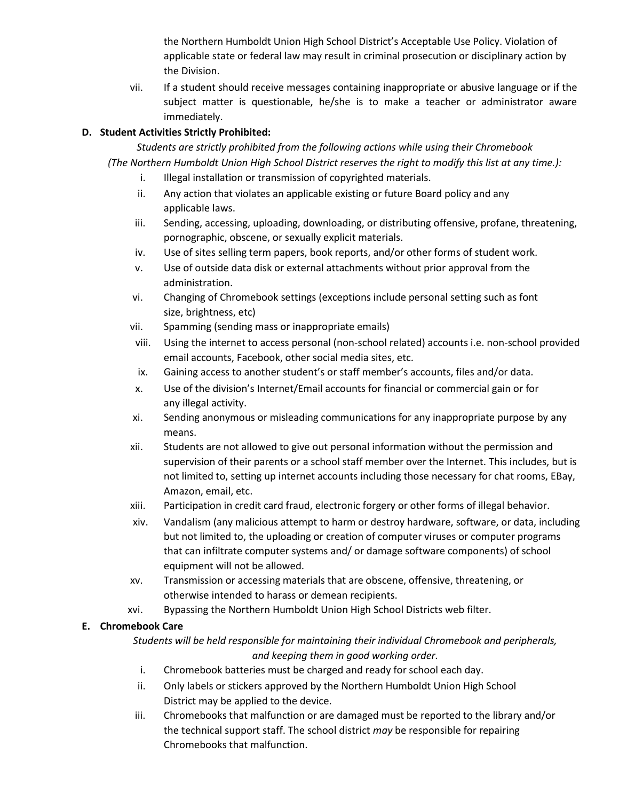the Northern Humboldt Union High School District's Acceptable Use Policy. Violation of applicable state or federal law may result in criminal prosecution or disciplinary action by the Division.

vii. If a student should receive messages containing inappropriate or abusive language or if the subject matter is questionable, he/she is to make a teacher or administrator aware immediately.

#### **D. Student Activities Strictly Prohibited:**

*Students are strictly prohibited from the following actions while using their Chromebook (The Northern Humboldt Union High School District reserves the right to modify this list at any time.):*

- i. Illegal installation or transmission of copyrighted materials.
- ii. Any action that violates an applicable existing or future Board policy and any applicable laws.
- iii. Sending, accessing, uploading, downloading, or distributing offensive, profane, threatening, pornographic, obscene, or sexually explicit materials.
- iv. Use of sites selling term papers, book reports, and/or other forms of student work.
- v. Use of outside data disk or external attachments without prior approval from the administration.
- vi. Changing of Chromebook settings (exceptions include personal setting such as font size, brightness, etc)
- vii. Spamming (sending mass or inappropriate emails)
- viii. Using the internet to access personal (non-school related) accounts i.e. non-school provided email accounts, Facebook, other social media sites, etc.
- ix. Gaining access to another student's or staff member's accounts, files and/or data.
- x. Use of the division's Internet/Email accounts for financial or commercial gain or for any illegal activity.
- xi. Sending anonymous or misleading communications for any inappropriate purpose by any means.
- xii. Students are not allowed to give out personal information without the permission and supervision of their parents or a school staff member over the Internet. This includes, but is not limited to, setting up internet accounts including those necessary for chat rooms, EBay, Amazon, email, etc.
- xiii. Participation in credit card fraud, electronic forgery or other forms of illegal behavior.
- xiv. Vandalism (any malicious attempt to harm or destroy hardware, software, or data, including but not limited to, the uploading or creation of computer viruses or computer programs that can infiltrate computer systems and/ or damage software components) of school equipment will not be allowed.
- xv. Transmission or accessing materials that are obscene, offensive, threatening, or otherwise intended to harass or demean recipients.
- xvi. Bypassing the Northern Humboldt Union High School Districts web filter.

#### **E. Chromebook Care**

*Students will be held responsible for maintaining their individual Chromebook and peripherals, and keeping them in good working order.*

- i. Chromebook batteries must be charged and ready for school each day.
- ii. Only labels or stickers approved by the Northern Humboldt Union High School District may be applied to the device.
- iii. Chromebooks that malfunction or are damaged must be reported to the library and/or the technical support staff. The school district *may* be responsible for repairing Chromebooks that malfunction.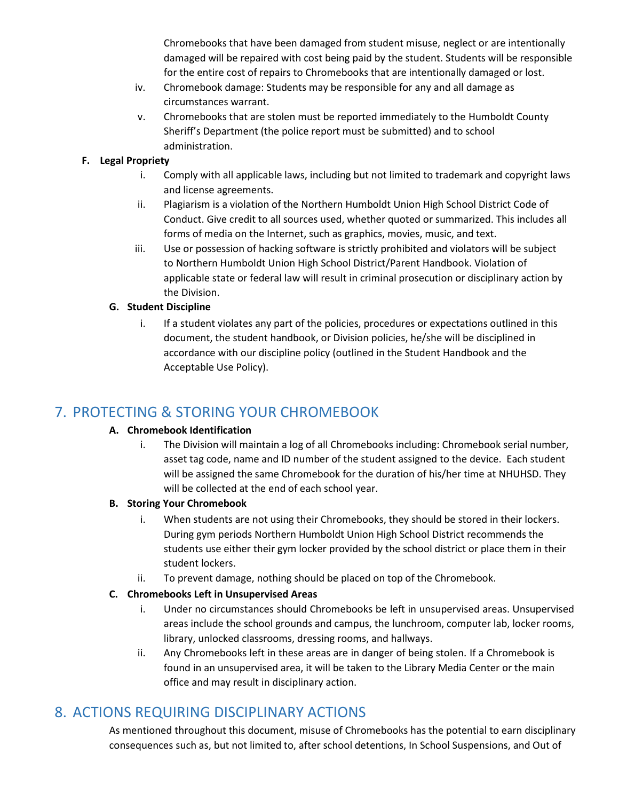Chromebooks that have been damaged from student misuse, neglect or are intentionally damaged will be repaired with cost being paid by the student. Students will be responsible for the entire cost of repairs to Chromebooks that are intentionally damaged or lost.

- iv. Chromebook damage: Students may be responsible for any and all damage as circumstances warrant.
- v. Chromebooks that are stolen must be reported immediately to the Humboldt County Sheriff's Department (the police report must be submitted) and to school administration.

#### **F. Legal Propriety**

- i. Comply with all applicable laws, including but not limited to trademark and copyright laws and license agreements.
- ii. Plagiarism is a violation of the Northern Humboldt Union High School District Code of Conduct. Give credit to all sources used, whether quoted or summarized. This includes all forms of media on the Internet, such as graphics, movies, music, and text.
- iii. Use or possession of hacking software is strictly prohibited and violators will be subject to Northern Humboldt Union High School District/Parent Handbook. Violation of applicable state or federal law will result in criminal prosecution or disciplinary action by the Division.

#### **G. Student Discipline**

i. If a student violates any part of the policies, procedures or expectations outlined in this document, the student handbook, or Division policies, he/she will be disciplined in accordance with our discipline policy (outlined in the Student Handbook and the Acceptable Use Policy).

## 7. PROTECTING & STORING YOUR CHROMEBOOK

#### **A. Chromebook Identification**

i. The Division will maintain a log of all Chromebooks including: Chromebook serial number, asset tag code, name and ID number of the student assigned to the device. Each student will be assigned the same Chromebook for the duration of his/her time at NHUHSD. They will be collected at the end of each school year.

#### **B. Storing Your Chromebook**

- i. When students are not using their Chromebooks, they should be stored in their lockers. During gym periods Northern Humboldt Union High School District recommends the students use either their gym locker provided by the school district or place them in their student lockers.
- ii. To prevent damage, nothing should be placed on top of the Chromebook.

#### **C. Chromebooks Left in Unsupervised Areas**

- i. Under no circumstances should Chromebooks be left in unsupervised areas. Unsupervised areas include the school grounds and campus, the lunchroom, computer lab, locker rooms, library, unlocked classrooms, dressing rooms, and hallways.
- ii. Any Chromebooks left in these areas are in danger of being stolen. If a Chromebook is found in an unsupervised area, it will be taken to the Library Media Center or the main office and may result in disciplinary action.

## 8. ACTIONS REQUIRING DISCIPLINARY ACTIONS

As mentioned throughout this document, misuse of Chromebooks has the potential to earn disciplinary consequences such as, but not limited to, after school detentions, In School Suspensions, and Out of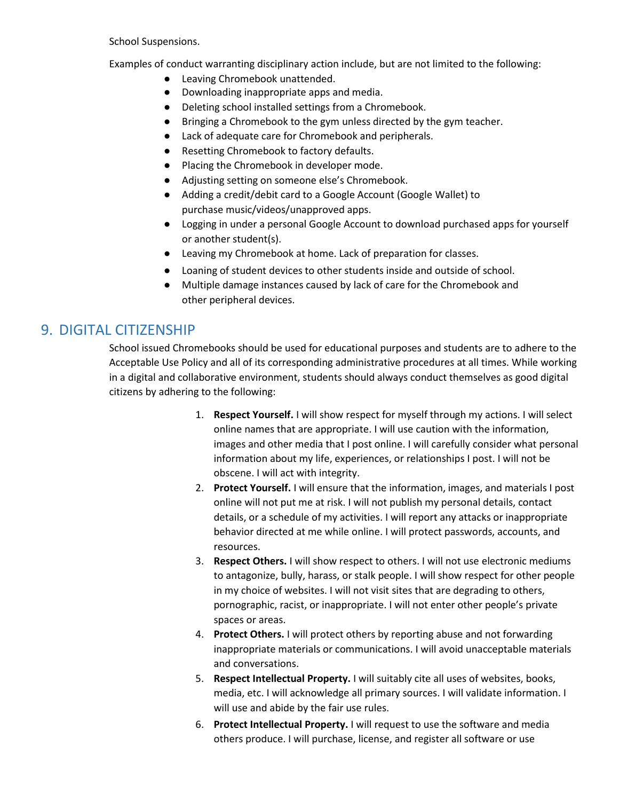School Suspensions.

Examples of conduct warranting disciplinary action include, but are not limited to the following:

- Leaving Chromebook unattended.
- Downloading inappropriate apps and media.
- Deleting school installed settings from a Chromebook.
- Bringing a Chromebook to the gym unless directed by the gym teacher.
- Lack of adequate care for Chromebook and peripherals.
- Resetting Chromebook to factory defaults.
- Placing the Chromebook in developer mode.
- Adjusting setting on someone else's Chromebook.
- Adding a credit/debit card to a Google Account (Google Wallet) to purchase music/videos/unapproved apps.
- Logging in under a personal Google Account to download purchased apps for yourself or another student(s).
- Leaving my Chromebook at home. Lack of preparation for classes.
- Loaning of student devices to other students inside and outside of school.
- Multiple damage instances caused by lack of care for the Chromebook and other peripheral devices.

## 9. DIGITAL CITIZENSHIP

School issued Chromebooks should be used for educational purposes and students are to adhere to the Acceptable Use Policy and all of its corresponding administrative procedures at all times. While working in a digital and collaborative environment, students should always conduct themselves as good digital citizens by adhering to the following:

- 1. **Respect Yourself.** I will show respect for myself through my actions. I will select online names that are appropriate. I will use caution with the information, images and other media that I post online. I will carefully consider what personal information about my life, experiences, or relationships I post. I will not be obscene. I will act with integrity.
- 2. **Protect Yourself.** I will ensure that the information, images, and materials I post online will not put me at risk. I will not publish my personal details, contact details, or a schedule of my activities. I will report any attacks or inappropriate behavior directed at me while online. I will protect passwords, accounts, and resources.
- 3. **Respect Others.** I will show respect to others. I will not use electronic mediums to antagonize, bully, harass, or stalk people. I will show respect for other people in my choice of websites. I will not visit sites that are degrading to others, pornographic, racist, or inappropriate. I will not enter other people's private spaces or areas.
- 4. **Protect Others.** I will protect others by reporting abuse and not forwarding inappropriate materials or communications. I will avoid unacceptable materials and conversations.
- 5. **Respect Intellectual Property.** I will suitably cite all uses of websites, books, media, etc. I will acknowledge all primary sources. I will validate information. I will use and abide by the fair use rules.
- 6. **Protect Intellectual Property.** I will request to use the software and media others produce. I will purchase, license, and register all software or use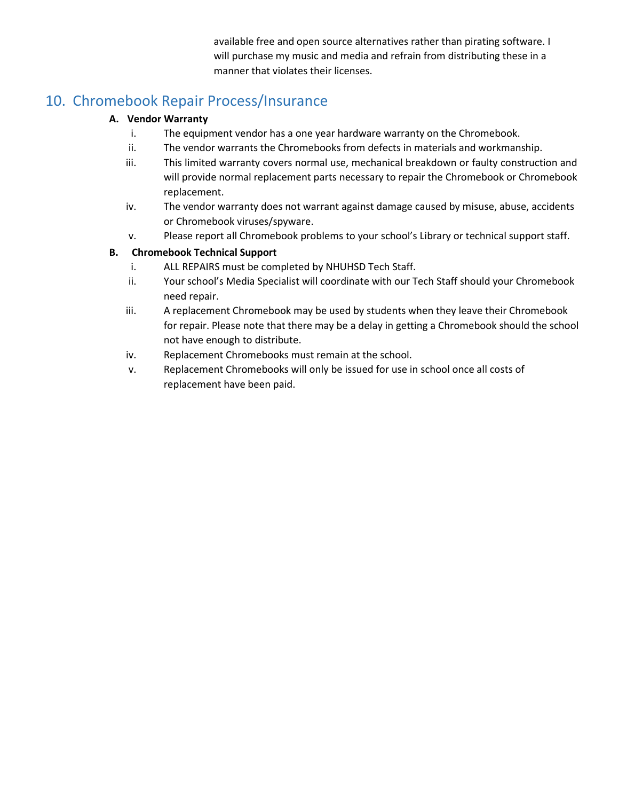available free and open source alternatives rather than pirating software. I will purchase my music and media and refrain from distributing these in a manner that violates their licenses.

## 10. Chromebook Repair Process/Insurance

#### **A. Vendor Warranty**

- i. The equipment vendor has a one year hardware warranty on the Chromebook.
- ii. The vendor warrants the Chromebooks from defects in materials and workmanship.
- iii. This limited warranty covers normal use, mechanical breakdown or faulty construction and will provide normal replacement parts necessary to repair the Chromebook or Chromebook replacement.
- iv. The vendor warranty does not warrant against damage caused by misuse, abuse, accidents or Chromebook viruses/spyware.
- v. Please report all Chromebook problems to your school's Library or technical support staff.

#### **B. Chromebook Technical Support**

- i. ALL REPAIRS must be completed by NHUHSD Tech Staff.
- ii. Your school's Media Specialist will coordinate with our Tech Staff should your Chromebook need repair.
- iii. A replacement Chromebook may be used by students when they leave their Chromebook for repair. Please note that there may be a delay in getting a Chromebook should the school not have enough to distribute.
- iv. Replacement Chromebooks must remain at the school.
- v. Replacement Chromebooks will only be issued for use in school once all costs of replacement have been paid.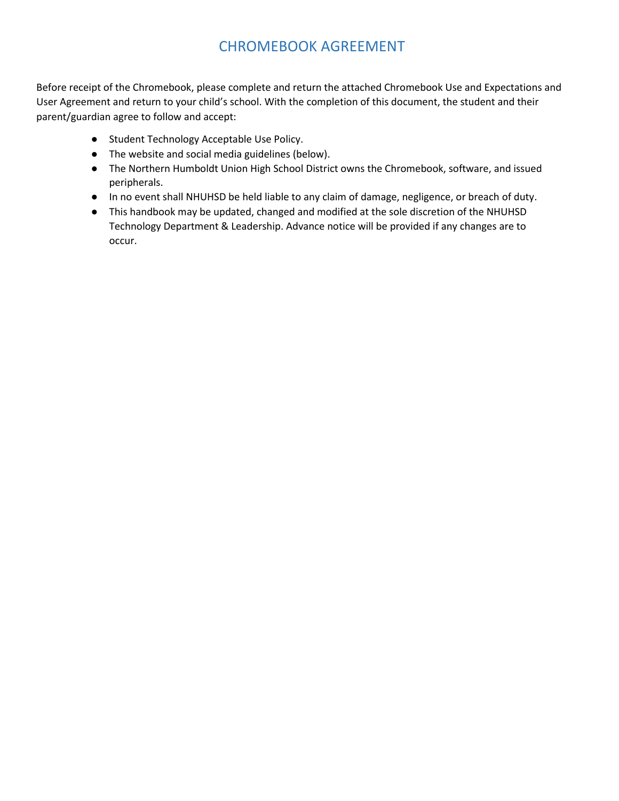## CHROMEBOOK AGREEMENT

Before receipt of the Chromebook, please complete and return the attached Chromebook Use and Expectations and User Agreement and return to your child's school. With the completion of this document, the student and their parent/guardian agree to follow and accept:

- Student Technology Acceptable Use Policy.
- The website and social media guidelines (below).
- The Northern Humboldt Union High School District owns the Chromebook, software, and issued peripherals.
- In no event shall NHUHSD be held liable to any claim of damage, negligence, or breach of duty.
- This handbook may be updated, changed and modified at the sole discretion of the NHUHSD Technology Department & Leadership. Advance notice will be provided if any changes are to occur.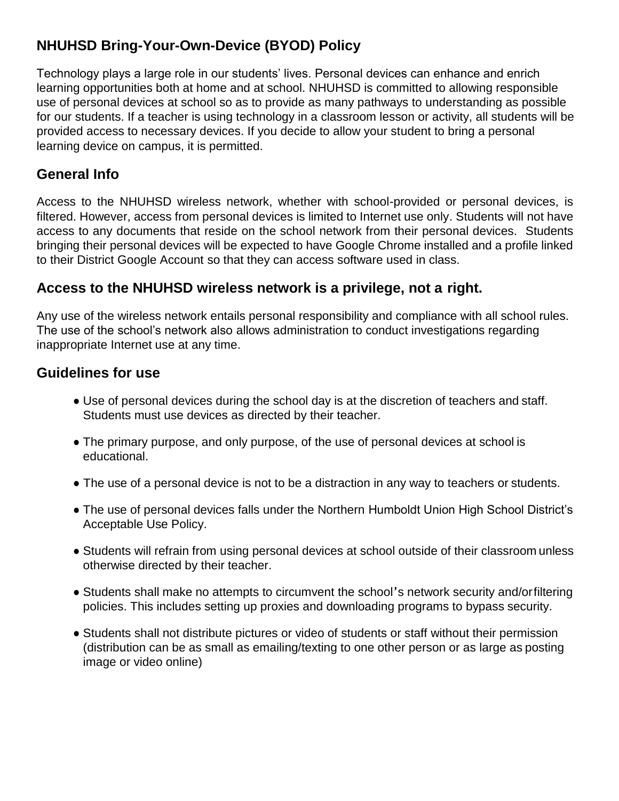## **NHUHSD Bring-Your-Own-Device (BYOD) Policy**

Technology plays a large role in our students' lives. Personal devices can enhance and enrich learning opportunities both at home and at school. NHUHSD is committed to allowing responsible use of personal devices at school so as to provide as many pathways to understanding as possible for our students. If a teacher is using technology in a classroom lesson or activity, all students will be provided access to necessary devices. If you decide to allow your student to bring a personal learning device on campus, it is permitted.

## **General Info**

Access to the NHUHSD wireless network, whether with school-provided or personal devices, is filtered. However, access from personal devices is limited to Internet use only. Students will not have access to any documents that reside on the school network from their personal devices. Students bringing their personal devices will be expected to have Google Chrome installed and a profile linked to their District Google Account so that they can access software used in class.

## **Access to the NHUHSD wireless network is a privilege, not a right.**

Any use of the wireless network entails personal responsibility and compliance with all school rules. The use of the school's network also allows administration to conduct investigations regarding inappropriate Internet use at any time.

## **Guidelines for use**

- Use of personal devices during the school day is at the discretion of teachers and staff. Students must use devices as directed by their teacher.
- The primary purpose, and only purpose, of the use of personal devices at school is educational.
- The use of a personal device is not to be a distraction in any way to teachers or students.
- The use of personal devices falls under the Northern Humboldt Union High School District's Acceptable Use Policy.
- Students will refrain from using personal devices at school outside of their classroom unless otherwise directed by their teacher.
- Students shall make no attempts to circumvent the school's network security and/orfiltering policies. This includes setting up proxies and downloading programs to bypass security.
- Students shall not distribute pictures or video of students or staff without their permission (distribution can be as small as emailing/texting to one other person or as large as posting image or video online)